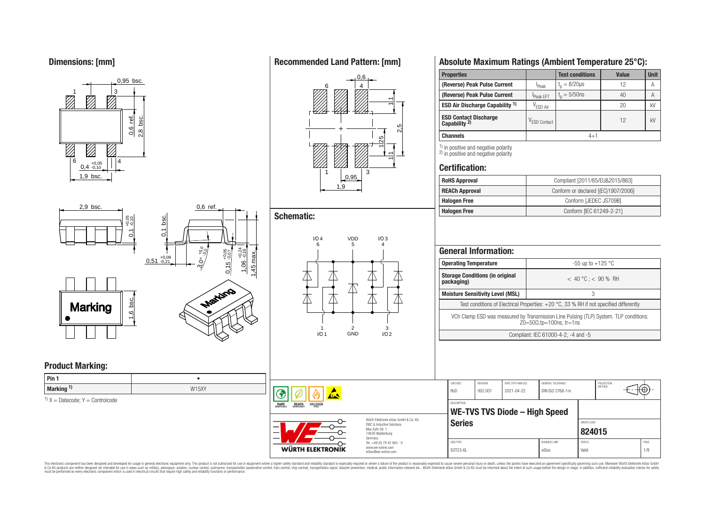**Dimensions: [mm]**



2,9 bsc.

# **Recommended Land Pattern: [mm]**



# **Schematic:**

**RoHS** 

**REACH** 

**HALOGEN** 

WÜRTH ELEKTRONIK



# **Absolute Maximum Ratings (Ambient Temperature 25°C):**

| <b>Properties</b>                                     |                          | <b>Test conditions</b> | Value | <b>Unit</b> |  |  |
|-------------------------------------------------------|--------------------------|------------------------|-------|-------------|--|--|
| (Reverse) Peak Pulse Current                          | <sup>I</sup> Peak        | $t_{p} = 8/20 \mu s$   | 12    | Α           |  |  |
| (Reverse) Peak Pulse Current                          | Peak EFT                 | $t_{p} = 5/50$ ns      | 40    | A           |  |  |
| <b>ESD Air Discharge Capability 1)</b>                | V <sub>ESD Air</sub>     |                        | 20    | kV          |  |  |
| <b>ESD Contact Discharge Capability <sup>2)</sup></b> | V <sub>ESD</sub> Contact |                        | 12    | kV          |  |  |
| <b>Channels</b>                                       | $4 + 1$                  |                        |       |             |  |  |
|                                                       |                          |                        |       |             |  |  |

 $\frac{1}{2}$  in positive and negative polarity <sup>2)</sup> in positive and negative polarity

### **Certification:**

| <b>RoHS Approval</b>  | Compliant [2011/65/EU&2015/863]     |
|-----------------------|-------------------------------------|
| <b>REACh Approval</b> | Conform or declared [(EC)1907/2006] |
| <b>Halogen Free</b>   | Conform [JEDEC JS709B]              |
| <b>Halogen Free</b>   | Conform [IEC 61249-2-21]            |

|                                                                              | <b>General Information:</b> |                                                                                                                             |                               |                                                                                          |                      |                         |      |
|------------------------------------------------------------------------------|-----------------------------|-----------------------------------------------------------------------------------------------------------------------------|-------------------------------|------------------------------------------------------------------------------------------|----------------------|-------------------------|------|
|                                                                              |                             | <b>Operating Temperature</b>                                                                                                |                               |                                                                                          |                      | $-55$ up to $+125$ °C   |      |
|                                                                              | packaging)                  | <b>Storage Conditions (in original</b>                                                                                      |                               |                                                                                          |                      | $< 40 °C$ ; $< 90 %$ RH |      |
|                                                                              |                             | <b>Moisture Sensitivity Level (MSL)</b>                                                                                     |                               |                                                                                          | 3                    |                         |      |
|                                                                              |                             |                                                                                                                             |                               | Test conditions of Electrical Properties: $+20$ °C, 33 % RH if not specified differently |                      |                         |      |
|                                                                              |                             | VCh Clamp ESD was measured by Transmission Line Pulsing (TLP) System. TLP conditions:<br>$Z0 = 50\Omega$ , tp=100ns, tr=1ns |                               |                                                                                          |                      |                         |      |
|                                                                              |                             | Compliant: IEC 61000-4-2, -4 and -5                                                                                         |                               |                                                                                          |                      |                         |      |
|                                                                              | CHECKED                     |                                                                                                                             |                               |                                                                                          |                      |                         |      |
|                                                                              |                             | <b>REVISION</b>                                                                                                             | DATE (YYYY-MM-DD)             | GENERAL TOLERANCE                                                                        |                      | PROJECTION<br>METHOD    |      |
|                                                                              | Ro <sub>D</sub>             | 002.001                                                                                                                     | 2021-04-22                    | DIN ISO 2768-1m                                                                          |                      |                         |      |
|                                                                              | <b>DESCRIPTION</b>          |                                                                                                                             | WE-TVS TVS Diode - High Speed |                                                                                          |                      |                         |      |
| Würth Elektronik eiSos GmbH & Co. KG<br><b>EMC &amp; Inductive Solutions</b> | <b>Series</b>               |                                                                                                                             |                               |                                                                                          | ORDER CODE<br>824015 |                         |      |
| Tel. +49 (0) 79 42 945 - 0                                                   | SIZE/TYPE                   |                                                                                                                             |                               | <b>BUSINESS UNIT</b>                                                                     | <b>STATUS</b>        |                         | PAGE |



0.6 ref

# **Product Marking:**

| $ $ Pin 1             |       |
|-----------------------|-------|
| Marking <sup>1)</sup> | W15XY |

 $1)$  X = Datecode; Y = Controlcode

This electronic component has been designed and developed for usage in general electronic equipment only. This product is not authorized for subserved requipment where a higher selection equipment where a higher selection

 $\mathbf{A}$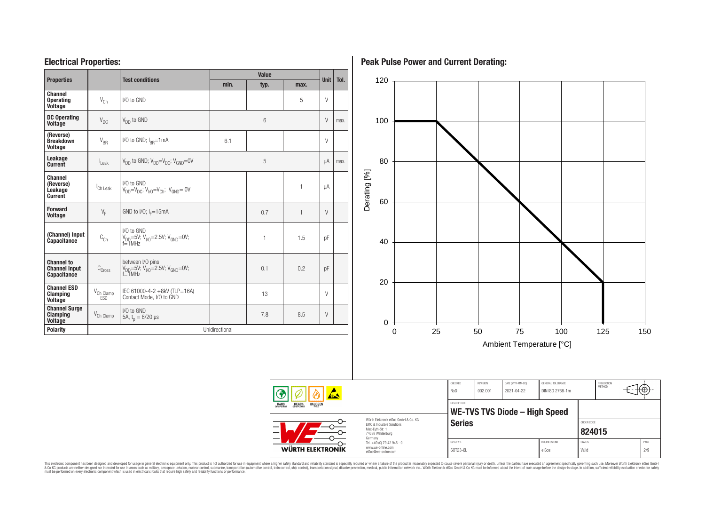### **Electrical Properties:**

| <b>Properties</b>                                               |                                     | <b>Test conditions</b>                                                     | <b>Value</b>   |      |              |             | Tol. |
|-----------------------------------------------------------------|-------------------------------------|----------------------------------------------------------------------------|----------------|------|--------------|-------------|------|
|                                                                 |                                     |                                                                            | min.           | typ. | max.         | <b>Unit</b> |      |
| <b>Channel</b><br><b>Operating</b><br><b>Voltage</b>            | $V_{Ch}$                            | I/O to GND                                                                 |                |      | 5            | $\vee$      |      |
| <b>DC Operating</b><br><b>Voltage</b>                           | $V_{DC}$                            | $V_{DD}$ to GND                                                            |                | 6    |              | $\vee$      | max. |
| (Reverse)<br><b>Breakdown</b><br><b>Voltage</b>                 | $V_{BR}$                            | I/O to GND; $I_{\text{RR}} = 1 \text{ mA}$                                 | 6.1            |      |              | $\vee$      |      |
| Leakage<br><b>Current</b>                                       | $\mathsf{I}_{\mathsf{leak}}$        | $V_{DD}$ to GND; $V_{DD} = V_{DC}$ ; $V_{GND} = 0V$                        |                | 5    |              | uA          | max. |
| Channel<br>(Reverse)<br>Leakage<br><b>Current</b>               | Ch Leak                             | I/O to GND<br>$V_{DD} = V_{DC}$ ; $V_{V/O} = V_{Ch}$ ; $V_{GND} = 0V$      |                |      | $\mathbf{1}$ | μA          |      |
| <b>Forward</b><br><b>Voltage</b>                                | $V_F$                               | GND to I/O; $I_F = 15mA$                                                   |                | 0.7  | 1            | $\vee$      |      |
| (Channel) Input<br>Capacitance                                  | $\text{C}_\text{Ch}$                | I/O to GND<br>$V_{DD} = 5V$ ; $V_{V0} = 2.5V$ ; $V_{GND} = 0V$ ;<br>f=1MHz |                | 1    | 1.5          | pF          |      |
| <b>Channel to</b><br><b>Channel Input</b><br><b>Capacitance</b> | $\text{C}_\text{Cross}$             | between I/O pins<br>$V_{DD}$ =5V; $V_{V0}$ =2.5V; $V_{GND}$ =0V;<br>f=1MHz |                | 0.1  | 0.2          | pF          |      |
| <b>Channel ESD</b><br><b>Clamping</b><br><b>Voltage</b>         | $V_{\text{Ch Clamp}}$<br><b>FSD</b> | IEC 61000-4-2 +8kV (TLP=16A)<br>Contact Mode, I/O to GND                   |                | 13   |              | V           |      |
| <b>Channel Surge</b><br><b>Clamping</b><br><b>Voltage</b>       | V <sub>Ch</sub> Clamp               | I/O to GND<br>5A, $t_n = 8/20$ µs                                          |                | 7.8  | 8.5          | $\vee$      |      |
| <b>Polarity</b>                                                 |                                     |                                                                            | Unidirectional |      |              |             |      |

**Peak Pulse Power and Current Derating:**



This electronic component has been designed and developed for usage in general electronic equipment only. This product is not authorized for subserved requipment where a higher selection equipment where a higher selection

RoHS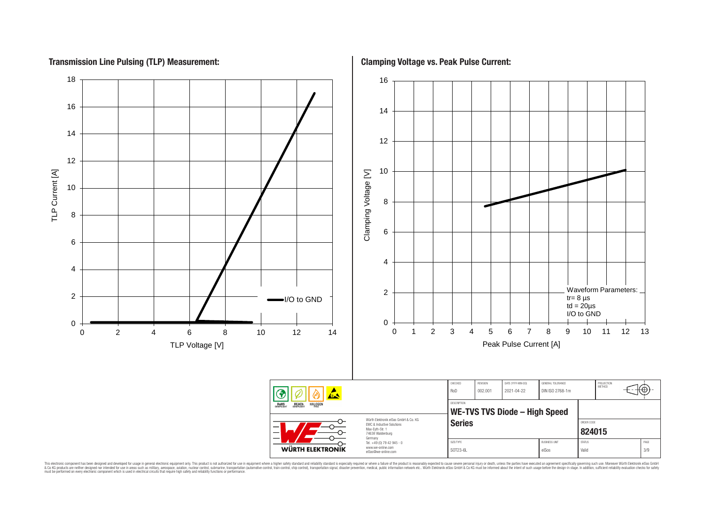### **Transmission Line Pulsing (TLP) Measurement:**



This electronic component has been designed and developed for usage in general electronic equipment only. This product is not authorized for subserved requipment where a higher selection equipment where a higher selection

**Clamping Voltage vs. Peak Pulse Current:**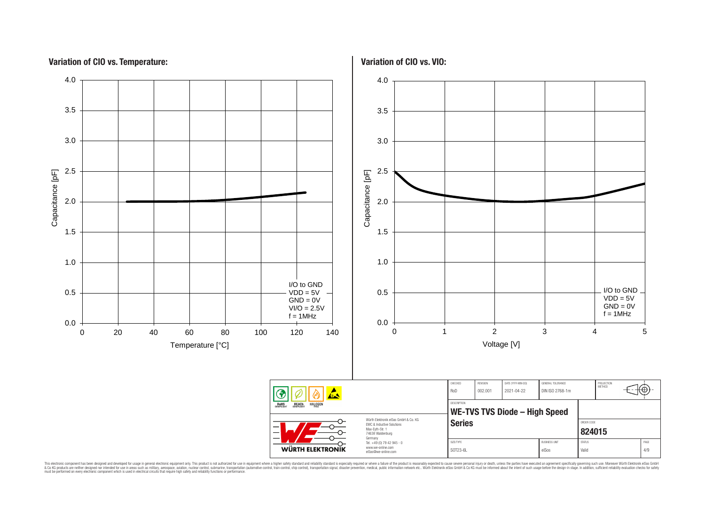# **Variation of CIO vs. Temperature:**

![](_page_3_Figure_1.jpeg)

**Variation of CIO vs. VIO:**

![](_page_3_Figure_3.jpeg)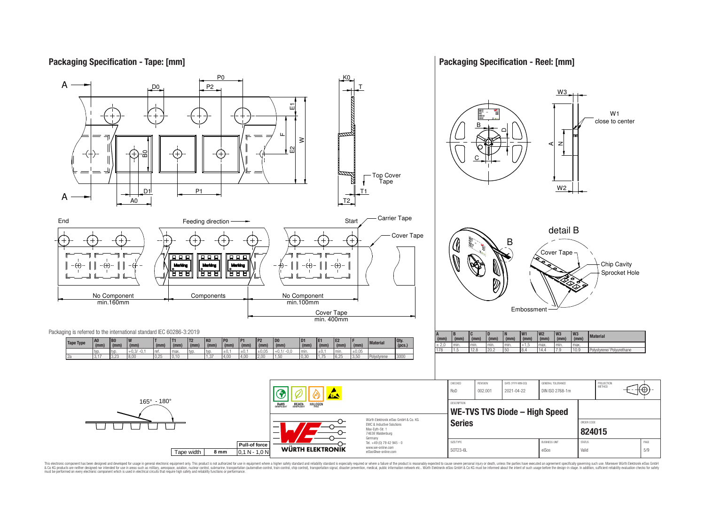### **Packaging Specification - Tape: [mm]**

#### **Packaging Specification - Reel: [mm]**

![](_page_4_Figure_2.jpeg)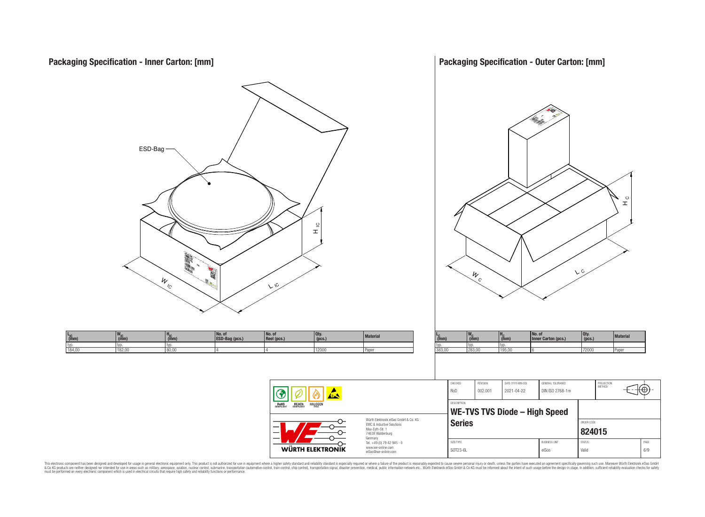![](_page_5_Figure_0.jpeg)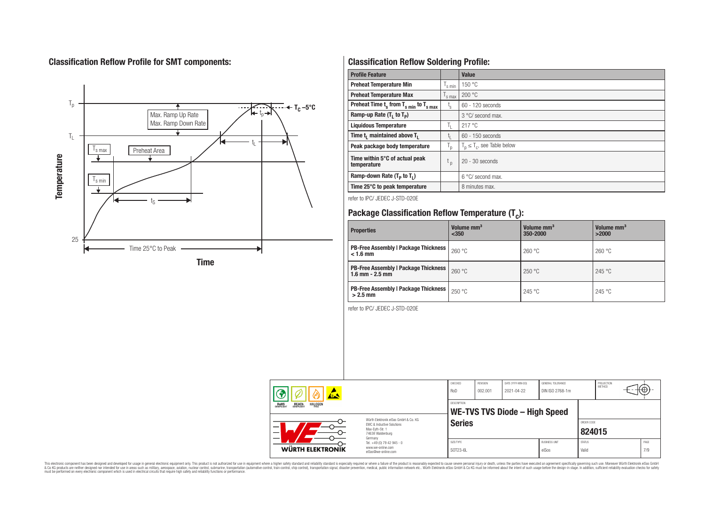# **Classification Reflow Profile for SMT components:**

![](_page_6_Figure_1.jpeg)

# **Classification Reflow Soldering Profile:**

| <b>Profile Feature</b>                              |                           | <b>Value</b>                     |
|-----------------------------------------------------|---------------------------|----------------------------------|
| <b>Preheat Temperature Min</b>                      | s min                     | 150 °C                           |
| <b>Preheat Temperature Max</b>                      | <sup>I</sup> s max        | 200 °C                           |
| Preheat Time $t_s$ from $T_{s,min}$ to $T_{s,max}$  | $t_{\rm s}$               | $60 - 120$ seconds               |
| Ramp-up Rate $(T_1$ to $T_p$ )                      |                           | 3 °C/ second max.                |
| <b>Liquidous Temperature</b>                        | Ъ.                        | 217°C                            |
| Time t <sub>1</sub> maintained above T <sub>1</sub> | t,                        | $60 - 150$ seconds               |
| Peak package body temperature                       | $\mathsf{I}_{\mathsf{D}}$ | $T_p \leq T_c$ , see Table below |
| Time within 5°C of actual peak<br>temperature       | t <sub>p</sub>            | $20 - 30$ seconds                |
| Ramp-down Rate $(T_p$ to $T_1$ )                    |                           | 6 °C/ second max.                |
| Time 25°C to peak temperature                       |                           | 8 minutes max.                   |

refer to IPC/ JEDEC J-STD-020E

# **Package Classification Reflow Temperature (T<sup>c</sup> ):**

| <b>Properties</b>                                                    | Volume mm <sup>3</sup><br>< 350 | Volume mm <sup>3</sup><br>350-2000 | Volume mm <sup>3</sup><br>>2000 |
|----------------------------------------------------------------------|---------------------------------|------------------------------------|---------------------------------|
| <b>PB-Free Assembly   Package Thickness  </b><br>$< 1.6$ mm          | 260 °C                          | 260 °C                             | 260 °C                          |
| <b>PB-Free Assembly   Package Thickness  </b><br>$1.6$ mm $- 2.5$ mm | 260 °C                          | 250 °C                             | 245 °C                          |
| <b>PB-Free Assembly   Package Thickness  </b><br>$>2.5$ mm           | 250 °C                          | 245 °C                             | 245 °C                          |

refer to IPC/ JEDEC J-STD-020E

| <u>ALS</u><br><b>REACH</b><br>COMPLIANT<br><b>HALOGEN</b><br><b>ROHS</b><br>COMPLIANT<br>Würth Flektronik eiSos GmbH & Co. KG<br>EMC & Inductive Solutions<br>–<br>Max-Evth-Str. 1<br>74638 Waldenburg |         | CHECKED<br>RoD     | REVISION<br>002.001                  | DATE (YYYY-MM-DD)<br>2021-04-22 | GENERAL TOLERANCE<br>DIN ISO 2768-1m |            | PROJECTION<br>METHOD | ₩Ψ |
|--------------------------------------------------------------------------------------------------------------------------------------------------------------------------------------------------------|---------|--------------------|--------------------------------------|---------------------------------|--------------------------------------|------------|----------------------|----|
|                                                                                                                                                                                                        |         | <b>DESCRIPTION</b> | <b>WE-TVS TVS Diode - High Speed</b> |                                 |                                      |            |                      |    |
|                                                                                                                                                                                                        |         | <b>Series</b>      |                                      |                                 |                                      | ORDER CODE |                      |    |
|                                                                                                                                                                                                        | Germany |                    |                                      |                                 |                                      | 824015     |                      |    |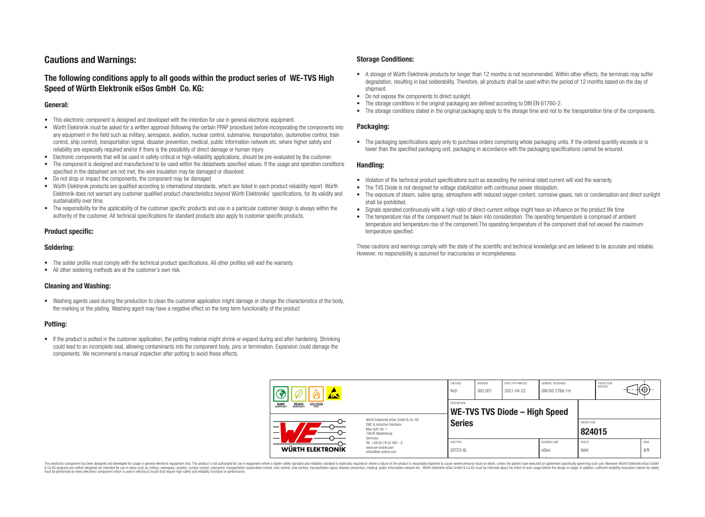### **Cautions and Warnings:**

### **The following conditions apply to all goods within the product series of WE-TVS High Speed of Würth Elektronik eiSos GmbH Co. KG:**

#### **General:**

- This electronic component is designed and developed with the intention for use in general electronic equipment.
- Würth Elektronik must be asked for a written approval (following the certain PPAP procedure) before incorporating the components into any equipment in the field such as military, aerospace, aviation, nuclear control, submarine, transportation, (automotive control, train control, ship control), transportation signal, disaster prevention, medical, public information network etc. where higher safety and reliability are especially required and/or if there is the possibility of direct damage or human injury.
- Electronic components that will be used in safety-critical or high-reliability applications, should be pre-evaluated by the customer.
- The component is designed and manufactured to be used within the datasheets specified values. If the usage and operation conditions specified in the datasheet are not met, the wire insulation may be damaged or dissolved.
- Do not drop or impact the components, the component may be damaged
- Würth Elektronik products are qualified according to international standards, which are listed in each product reliability report. Würth Elektronik does not warrant any customer qualified product characteristics beyond Würth Elektroniks' specifications, for its validity and sustainability over time.
- The responsibility for the applicability of the customer specific products and use in a particular customer design is always within the authority of the customer. All technical specifications for standard products also apply to customer specific products.

#### **Product specific:**

#### **Soldering:**

- The solder profile must comply with the technical product specifications. All other profiles will void the warranty.
- All other soldering methods are at the customer's own risk.

#### **Cleaning and Washing:**

• Washing agents used during the production to clean the customer application might damage or change the characteristics of the body. the marking or the plating. Washing agent may have a negative effect on the long term functionality of the product

#### **Potting:**

• If the product is potted in the customer application, the potting material might shrink or expand during and after hardening. Shrinking could lead to an incomplete seal, allowing contaminants into the component body, pins or termination. Expansion could damage the components. We recommend a manual inspection after potting to avoid these effects.

#### **Storage Conditions:**

- A storage of Würth Elektronik products for longer than 12 months is not recommended. Within other effects, the terminals may suffer degradation, resulting in bad solderability. Therefore, all products shall be used within the period of 12 months based on the day of shipment.
- Do not expose the components to direct sunlight.<br>• The storage conditions in the original packaging
- The storage conditions in the original packaging are defined according to DIN EN 61760-2.
- The storage conditions stated in the original packaging apply to the storage time and not to the transportation time of the components.

#### **Packaging:**

• The packaging specifications apply only to purchase orders comprising whole packaging units. If the ordered quantity exceeds or is lower than the specified packaging unit, packaging in accordance with the packaging specifications cannot be ensured.

#### **Handling:**

- Violation of the technical product specifications such as exceeding the nominal rated current will void the warranty.
- The TVS Diode is not designed for voltage stabilization with continuous power dissipation.
- The exposure of steam, saline spray, atmosphere with reduced oxygen content, corrosive gases, rain or condensation and direct sunlight shall be prohibited.
- Signals operated continuously with a high ratio of direct-current voltage might have an influence on the product life time
- The temperature rise of the component must be taken into consideration. The operating temperature is comprised of ambient temperature and temperature rise of the component.The operating temperature of the component shall not exceed the maximum temperature specified.

These cautions and warnings comply with the state of the scientific and technical knowledge and are believed to be accurate and reliable. However, no responsibility is assumed for inaccuracies or incompleteness.

| 体态<br><b>HALOGEN</b><br>ROHS<br>COMPLIANT<br><b>REACH</b><br>COMPLIANT |                                                                                                               | CHECKED<br>RoD                                                                    | <b>REVISION</b><br>002.001 | DATE (YYYY-MM-DD)<br>2021-04-22 | GENERAL TOLERANCE<br>DIN ISO 2768-1m |                               | PROJECTION<br><b>METHOD</b> |                      | $+\oplus$ |             |
|------------------------------------------------------------------------|---------------------------------------------------------------------------------------------------------------|-----------------------------------------------------------------------------------|----------------------------|---------------------------------|--------------------------------------|-------------------------------|-----------------------------|----------------------|-----------|-------------|
|                                                                        |                                                                                                               | <b>DESCRIPTION</b><br>WE-TVS TVS Diode - High Speed                               |                            |                                 |                                      |                               |                             |                      |           |             |
|                                                                        | Würth Elektronik eiSos GmbH & Co. KG<br>EMC & Inductive Solutions<br>–<br>Max-Eyth-Str. 1<br>74638 Waldenburg |                                                                                   | <b>Series</b>              |                                 |                                      |                               |                             | ORDER CODE<br>824015 |           |             |
|                                                                        | WÜRTH ELEKTRONIK                                                                                              | Germany<br>Tel. +49 (0) 79 42 945 - 0<br>www.we-online.com<br>eiSos@we-online.com | SIZE/TYPE<br>SOT23-6L      |                                 |                                      | <b>BUSINESS UNIT</b><br>eiSos | <b>STATUS</b><br>Valid      |                      |           | PAGE<br>8/9 |

This electronic component has been designed and developed for usage in general electronic equipment only. This product is not authorized for use in equipment where a higher safety standard and reliability standard si espec & Ook product a label and the membed of the seasuch as marked and as which such a membed and the such assume that income in the seasuch and the simulation and the such assume that include to the such a membed and the such